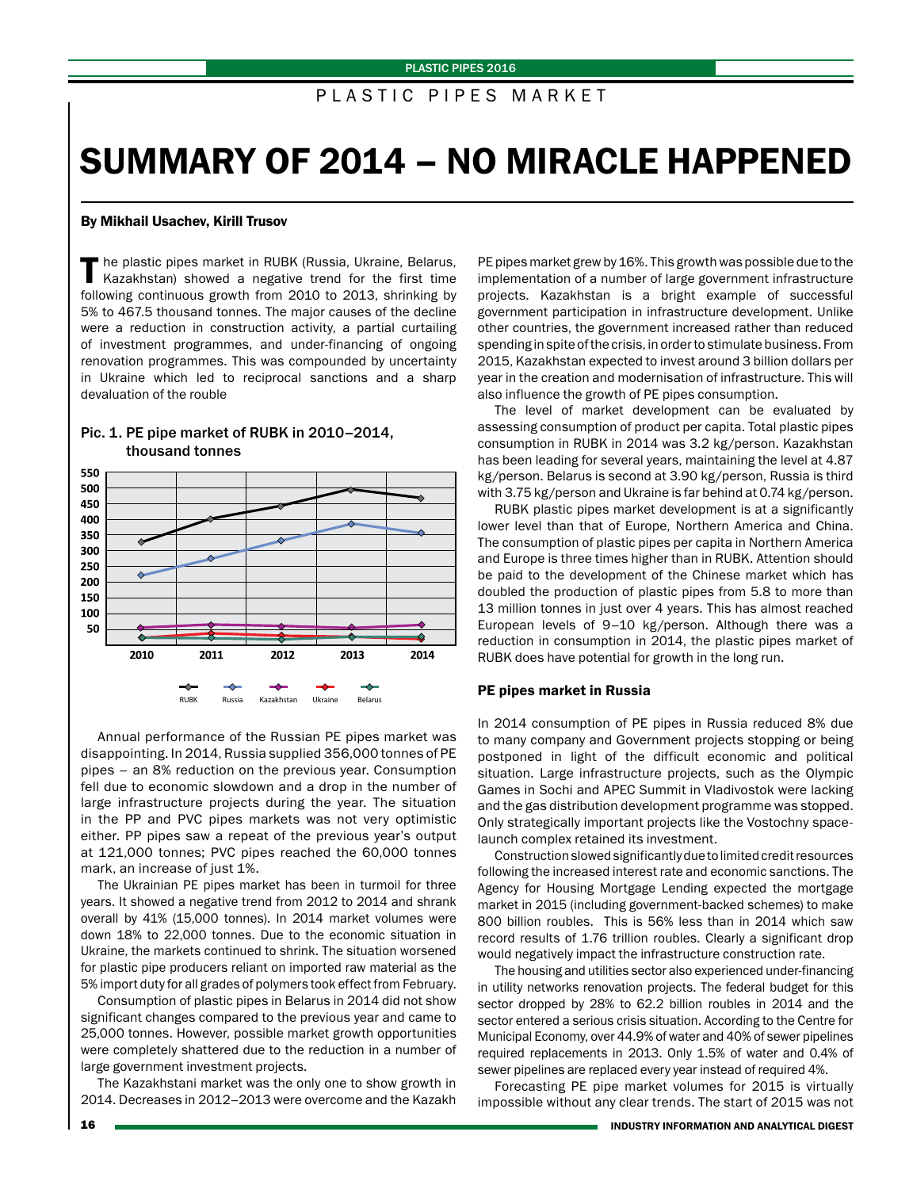# PLASTIC PIPES MARKET

# SUMMARY OF 2014 – NO MIRACLE HAPPENED

#### By Mikhail Usachev, Kirill Trusov

The plastic pipes market in RUBK (Russia, Ukraine, Belarus, Kazakhstan) showed a negative trend for the first time following continuous growth from 2010 to 2013, shrinking by 5% to 467.5 thousand tonnes. The major causes of the decline were a reduction in construction activity, a partial curtailing of investment programmes, and under-financing of ongoing renovation programmes. This was compounded by uncertainty in Ukraine which led to reciprocal sanctions and a sharp devaluation of the rouble



### Pic. 1. PE pipe market of RUBK in 2010–2014, thousand tonnes

Annual performance of the Russian PE pipes market was disappointing. In 2014, Russia supplied 356,000 tonnes of PE pipes – an 8% reduction on the previous year. Consumption fell due to economic slowdown and a drop in the number of large infrastructure projects during the year. The situation in the PP and PVC pipes markets was not very optimistic either. PP pipes saw a repeat of the previous year's output at 121,000 tonnes; PVC pipes reached the 60,000 tonnes mark, an increase of just 1%.

The Ukrainian PE pipes market has been in turmoil for three years. It showed a negative trend from 2012 to 2014 and shrank overall by 41% (15,000 tonnes). In 2014 market volumes were down 18% to 22,000 tonnes. Due to the economic situation in Ukraine, the markets continued to shrink. The situation worsened for plastic pipe producers reliant on imported raw material as the 5% import duty for all grades of polymers took effect from February.

Consumption of plastic pipes in Belarus in 2014 did not show significant changes compared to the previous year and came to 25,000 tonnes. However, possible market growth opportunities were completely shattered due to the reduction in a number of large government investment projects.

The Kazakhstani market was the only one to show growth in 2014. Decreases in 2012–2013 were overcome and the Kazakh

PE pipes market grew by 16%. This growth was possible due to the implementation of a number of large government infrastructure projects. Kazakhstan is a bright example of successful government participation in infrastructure development. Unlike other countries, the government increased rather than reduced spending in spite of the crisis, in order to stimulate business. From 2015, Kazakhstan expected to invest around 3 billion dollars per year in the creation and modernisation of infrastructure. This will also influence the growth of PE pipes consumption.

The level of market development can be evaluated by assessing consumption of product per capita. Total plastic pipes consumption in RUBK in 2014 was 3.2 kg/person. Kazakhstan has been leading for several years, maintaining the level at 4.87 kg/person. Belarus is second at 3.90 kg/person, Russia is third with 3.75 kg/person and Ukraine is far behind at 0.74 kg/person.

RUBK plastic pipes market development is at a significantly lower level than that of Europe, Northern America and China. The consumption of plastic pipes per capita in Northern America and Europe is three times higher than in RUBK. Attention should be paid to the development of the Chinese market which has doubled the production of plastic pipes from 5.8 to more than 13 million tonnes in just over 4 years. This has almost reached European levels of 9–10 kg/person. Although there was a reduction in consumption in 2014, the plastic pipes market of RUBK does have potential for growth in the long run.

#### PE pipes market in Russia

In 2014 consumption of PE pipes in Russia reduced 8% due to many company and Government projects stopping or being postponed in light of the difficult economic and political situation. Large infrastructure projects, such as the Olympic Games in Sochi and APEC Summit in Vladivostok were lacking and the gas distribution development programme was stopped. Only strategically important projects like the Vostochny spacelaunch complex retained its investment.

Construction slowed significantly due to limited credit resources following the increased interest rate and economic sanctions. The Agency for Housing Mortgage Lending expected the mortgage market in 2015 (including government-backed schemes) to make 800 billion roubles. This is 56% less than in 2014 which saw record results of 1.76 trillion roubles. Clearly a significant drop would negatively impact the infrastructure construction rate.

The housing and utilities sector also experienced under-financing in utility networks renovation projects. The federal budget for this sector dropped by 28% to 62.2 billion roubles in 2014 and the sector entered a serious crisis situation. According to the Centre for Municipal Economy, over 44.9% of water and 40% of sewer pipelines required replacements in 2013. Only 1.5% of water and 0.4% of sewer pipelines are replaced every year instead of required 4%.

Forecasting PE pipe market volumes for 2015 is virtually impossible without any clear trends. The start of 2015 was not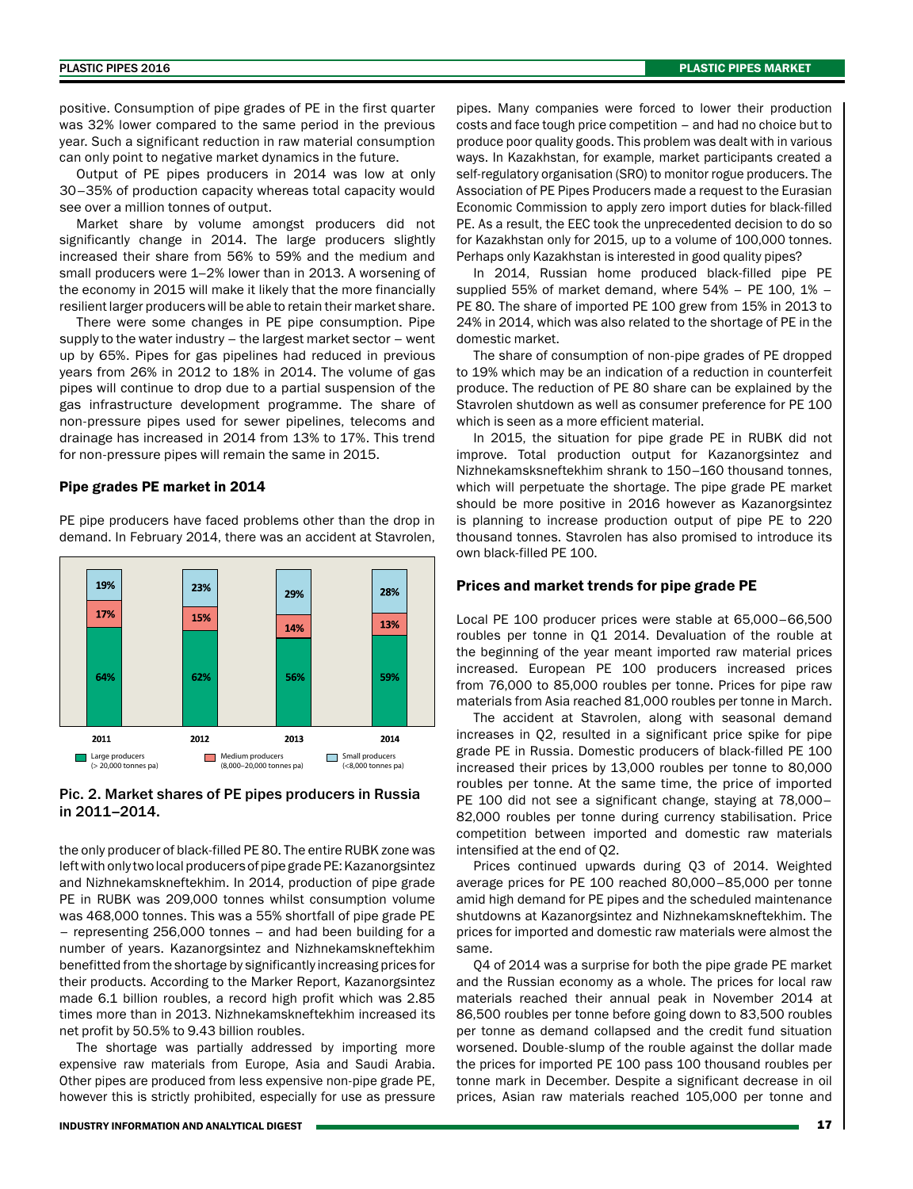positive. Consumption of pipe grades of PE in the first quarter was 32% lower compared to the same period in the previous year. Such a significant reduction in raw material consumption can only point to negative market dynamics in the future.

Output of PE pipes producers in 2014 was low at only 30–35% of production capacity whereas total capacity would see over a million tonnes of output.

Market share by volume amongst producers did not significantly change in 2014. The large producers slightly increased their share from 56% to 59% and the medium and small producers were 1–2% lower than in 2013. A worsening of the economy in 2015 will make it likely that the more financially resilient larger producers will be able to retain their market share.

There were some changes in PE pipe consumption. Pipe supply to the water industry – the largest market sector – went up by 65%. Pipes for gas pipelines had reduced in previous years from 26% in 2012 to 18% in 2014. The volume of gas pipes will continue to drop due to a partial suspension of the gas infrastructure development programme. The share of non-pressure pipes used for sewer pipelines, telecoms and drainage has increased in 2014 from 13% to 17%. This trend for non-pressure pipes will remain the same in 2015.

#### Pipe grades PE market in 2014

PE pipe producers have faced problems other than the drop in demand. In February 2014, there was an accident at Stavrolen,



#### Pic. 2. Market shares of PE pipes producers in Russia in 2011–2014.

the only producer of black-filled PE 80. The entire RUBK zone was left with only two local producers of pipe grade PE: Kazanorgsintez and Nizhnekamskneftekhim. In 2014, production of pipe grade PE in RUBK was 209,000 tonnes whilst consumption volume was 468,000 tonnes. This was a 55% shortfall of pipe grade PE – representing 256,000 tonnes – and had been building for a number of years. Kazanorgsintez and Nizhnekamskneftekhim benefitted from the shortage by significantly increasing prices for their products. According to the Marker Report, Kazanorgsintez made 6.1 billion roubles, a record high profit which was 2.85 times more than in 2013. Nizhnekamskneftekhim increased its net profit by 50.5% to 9.43 billion roubles.

The shortage was partially addressed by importing more expensive raw materials from Europe, Asia and Saudi Arabia. Other pipes are produced from less expensive non-pipe grade PE, however this is strictly prohibited, especially for use as pressure pipes. Many companies were forced to lower their production costs and face tough price competition – and had no choice but to produce poor quality goods. This problem was dealt with in various ways. In Kazakhstan, for example, market participants created a self-regulatory organisation (SRO) to monitor rogue producers. The Association of PE Pipes Producers made a request to the Eurasian Economic Commission to apply zero import duties for black-filled PE. As a result, the EEC took the unprecedented decision to do so for Kazakhstan only for 2015, up to a volume of 100,000 tonnes. Perhaps only Kazakhstan is interested in good quality pipes?

In 2014, Russian home produced black-filled pipe PE supplied 55% of market demand, where  $54\%$  – PE 100, 1% – PE 80. The share of imported PE 100 grew from 15% in 2013 to 24% in 2014, which was also related to the shortage of PE in the domestic market.

The share of consumption of non-pipe grades of PE dropped to 19% which may be an indication of a reduction in counterfeit produce. The reduction of PE 80 share can be explained by the Stavrolen shutdown as well as consumer preference for PE 100 which is seen as a more efficient material.

In 2015, the situation for pipe grade PE in RUBK did not improve. Total production output for Kazanorgsintez and Nizhnekamsksneftekhim shrank to 150–160 thousand tonnes, which will perpetuate the shortage. The pipe grade PE market should be more positive in 2016 however as Kazanorgsintez is planning to increase production output of pipe PE to 220 thousand tonnes. Stavrolen has also promised to introduce its own black-filled PE 100.

#### Prices and market trends for pipe grade PE

Local PE 100 producer prices were stable at 65,000–66,500 roubles per tonne in Q1 2014. Devaluation of the rouble at the beginning of the year meant imported raw material prices increased. European PE 100 producers increased prices from 76,000 to 85,000 roubles per tonne. Prices for pipe raw materials from Asia reached 81,000 roubles per tonne in March.

The accident at Stavrolen, along with seasonal demand increases in Q2, resulted in a significant price spike for pipe grade PE in Russia. Domestic producers of black-filled PE 100 increased their prices by 13,000 roubles per tonne to 80,000 roubles per tonne. At the same time, the price of imported PE 100 did not see a significant change, staying at 78,000– 82,000 roubles per tonne during currency stabilisation. Price competition between imported and domestic raw materials intensified at the end of Q2.

Prices continued upwards during Q3 of 2014. Weighted average prices for PE 100 reached 80,000–85,000 per tonne amid high demand for PE pipes and the scheduled maintenance shutdowns at Kazanorgsintez and Nizhnekamskneftekhim. The prices for imported and domestic raw materials were almost the same.

Q4 of 2014 was a surprise for both the pipe grade PE market and the Russian economy as a whole. The prices for local raw materials reached their annual peak in November 2014 at 86,500 roubles per tonne before going down to 83,500 roubles per tonne as demand collapsed and the credit fund situation worsened. Double-slump of the rouble against the dollar made the prices for imported PE 100 pass 100 thousand roubles per tonne mark in December. Despite a significant decrease in oil prices, Asian raw materials reached 105,000 per tonne and